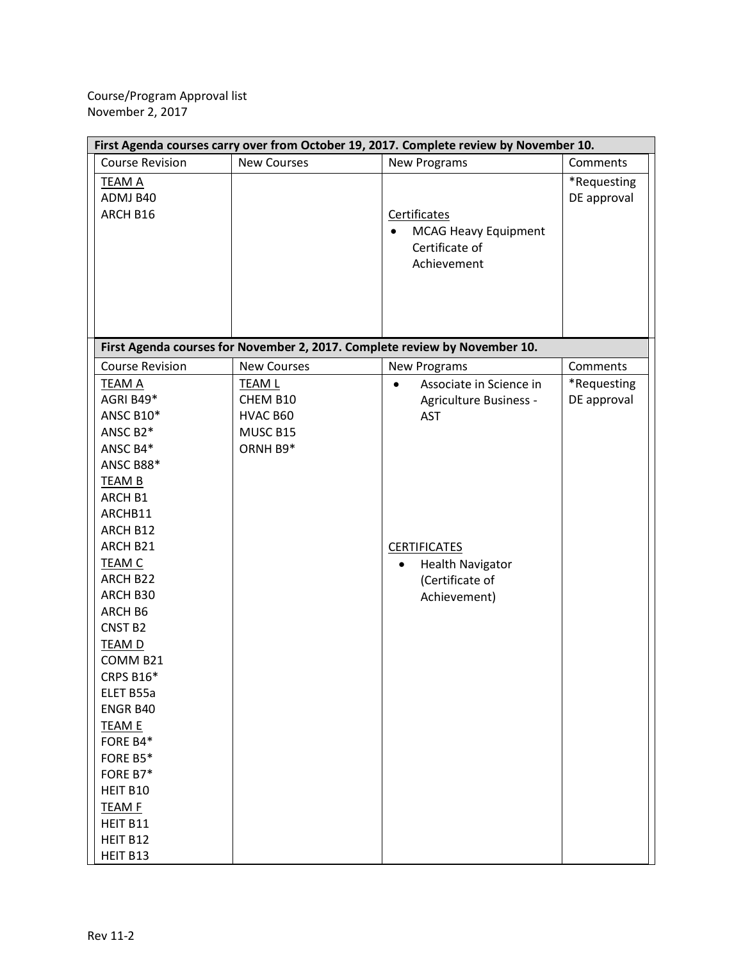| First Agenda courses carry over from October 19, 2017. Complete review by November 10.                                                                                                                                                                                                                                                                                                        |                                                               |                                                                                                                                                                                |                            |  |  |
|-----------------------------------------------------------------------------------------------------------------------------------------------------------------------------------------------------------------------------------------------------------------------------------------------------------------------------------------------------------------------------------------------|---------------------------------------------------------------|--------------------------------------------------------------------------------------------------------------------------------------------------------------------------------|----------------------------|--|--|
| <b>Course Revision</b>                                                                                                                                                                                                                                                                                                                                                                        | <b>New Courses</b>                                            | <b>New Programs</b>                                                                                                                                                            | Comments                   |  |  |
| <b>TEAM A</b><br>ADMJ B40<br>ARCH B16                                                                                                                                                                                                                                                                                                                                                         |                                                               | Certificates<br><b>MCAG Heavy Equipment</b><br>$\bullet$<br>Certificate of<br>Achievement                                                                                      | *Requesting<br>DE approval |  |  |
|                                                                                                                                                                                                                                                                                                                                                                                               |                                                               | First Agenda courses for November 2, 2017. Complete review by November 10.                                                                                                     |                            |  |  |
| <b>Course Revision</b>                                                                                                                                                                                                                                                                                                                                                                        | <b>New Courses</b>                                            | <b>New Programs</b>                                                                                                                                                            | Comments                   |  |  |
| <b>TEAM A</b><br>AGRI B49*<br>ANSC B10*<br>ANSC B2*<br>ANSC B4*<br>ANSC B88*<br><b>TEAM B</b><br>ARCH B1<br>ARCHB11<br>ARCH B12<br>ARCH B21<br><b>TEAM C</b><br>ARCH B22<br>ARCH B30<br>ARCH B6<br>CNST <sub>B2</sub><br><b>TEAM D</b><br>COMM B21<br><b>CRPS B16*</b><br>ELET B55a<br>ENGR B40<br><b>TEAM E</b><br>FORE B4*<br>FORE B5*<br>FORE B7*<br>HEIT B10<br><b>TEAM F</b><br>HEIT B11 | <b>TEAM L</b><br>CHEM B10<br>HVAC B60<br>MUSC B15<br>ORNH B9* | Associate in Science in<br>$\bullet$<br>Agriculture Business -<br><b>AST</b><br><b>CERTIFICATES</b><br><b>Health Navigator</b><br>$\bullet$<br>(Certificate of<br>Achievement) | *Requesting<br>DE approval |  |  |
| HEIT B12<br>HEIT B13                                                                                                                                                                                                                                                                                                                                                                          |                                                               |                                                                                                                                                                                |                            |  |  |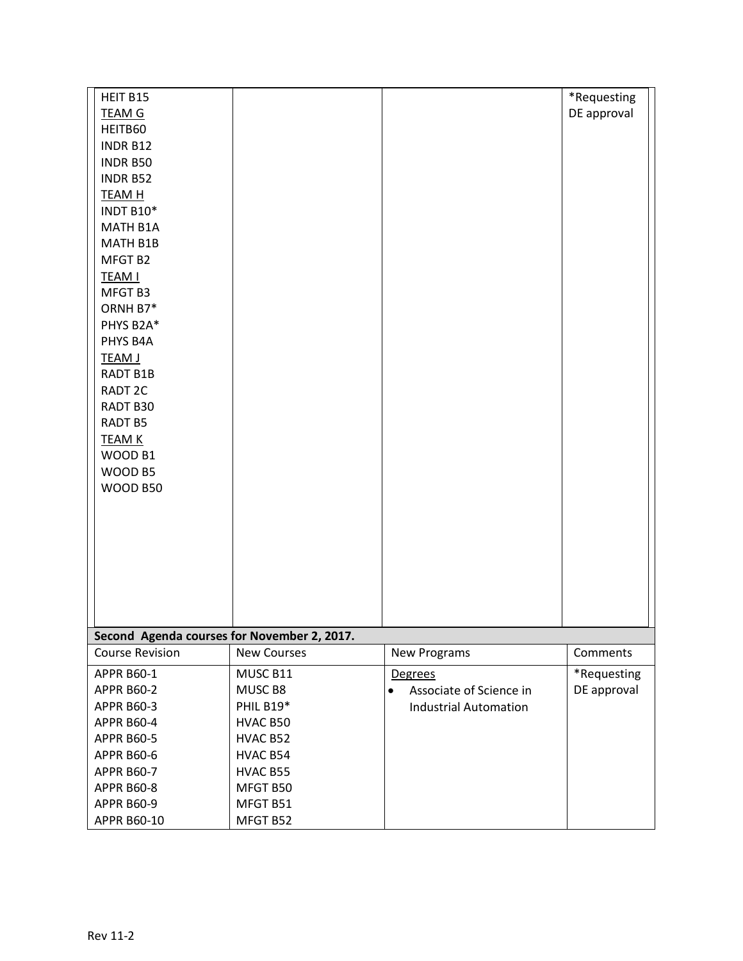| HEIT B15                                    |                    |                                      | *Requesting |  |  |
|---------------------------------------------|--------------------|--------------------------------------|-------------|--|--|
| <b>TEAM G</b>                               |                    |                                      | DE approval |  |  |
| HEITB60                                     |                    |                                      |             |  |  |
| INDR B12                                    |                    |                                      |             |  |  |
| <b>INDR B50</b>                             |                    |                                      |             |  |  |
| <b>INDR B52</b>                             |                    |                                      |             |  |  |
| <b>TEAM H</b>                               |                    |                                      |             |  |  |
| INDT B10*                                   |                    |                                      |             |  |  |
| MATH B1A                                    |                    |                                      |             |  |  |
| MATH B1B                                    |                    |                                      |             |  |  |
| MFGT B2                                     |                    |                                      |             |  |  |
| <b>TEAM I</b>                               |                    |                                      |             |  |  |
| MFGT B3                                     |                    |                                      |             |  |  |
| ORNH B7*                                    |                    |                                      |             |  |  |
| PHYS B2A*                                   |                    |                                      |             |  |  |
| PHYS B4A                                    |                    |                                      |             |  |  |
| <b>TEAM J</b>                               |                    |                                      |             |  |  |
| RADT B1B                                    |                    |                                      |             |  |  |
| RADT <sub>2C</sub>                          |                    |                                      |             |  |  |
| RADT B30                                    |                    |                                      |             |  |  |
| <b>RADT B5</b>                              |                    |                                      |             |  |  |
| <b>TEAM K</b>                               |                    |                                      |             |  |  |
| WOOD B1                                     |                    |                                      |             |  |  |
| WOOD B5                                     |                    |                                      |             |  |  |
| WOOD B50                                    |                    |                                      |             |  |  |
|                                             |                    |                                      |             |  |  |
|                                             |                    |                                      |             |  |  |
|                                             |                    |                                      |             |  |  |
|                                             |                    |                                      |             |  |  |
|                                             |                    |                                      |             |  |  |
|                                             |                    |                                      |             |  |  |
|                                             |                    |                                      |             |  |  |
| Second Agenda courses for November 2, 2017. |                    |                                      |             |  |  |
| <b>Course Revision</b>                      | <b>New Courses</b> | New Programs                         | Comments    |  |  |
| <b>APPR B60-1</b>                           | MUSC B11           | Degrees                              | *Requesting |  |  |
| <b>APPR B60-2</b>                           | MUSC B8            | Associate of Science in<br>$\bullet$ | DE approval |  |  |
| <b>APPR B60-3</b>                           | PHIL B19*          | <b>Industrial Automation</b>         |             |  |  |
| <b>APPR B60-4</b>                           | HVAC B50           |                                      |             |  |  |
| <b>APPR B60-5</b>                           | HVAC B52           |                                      |             |  |  |
| <b>APPR B60-6</b>                           | HVAC B54           |                                      |             |  |  |
| <b>APPR B60-7</b>                           | HVAC B55           |                                      |             |  |  |
| <b>APPR B60-8</b>                           | MFGT B50           |                                      |             |  |  |
| <b>APPR B60-9</b>                           | MFGT B51           |                                      |             |  |  |
| APPR B60-10                                 | MFGT B52           |                                      |             |  |  |